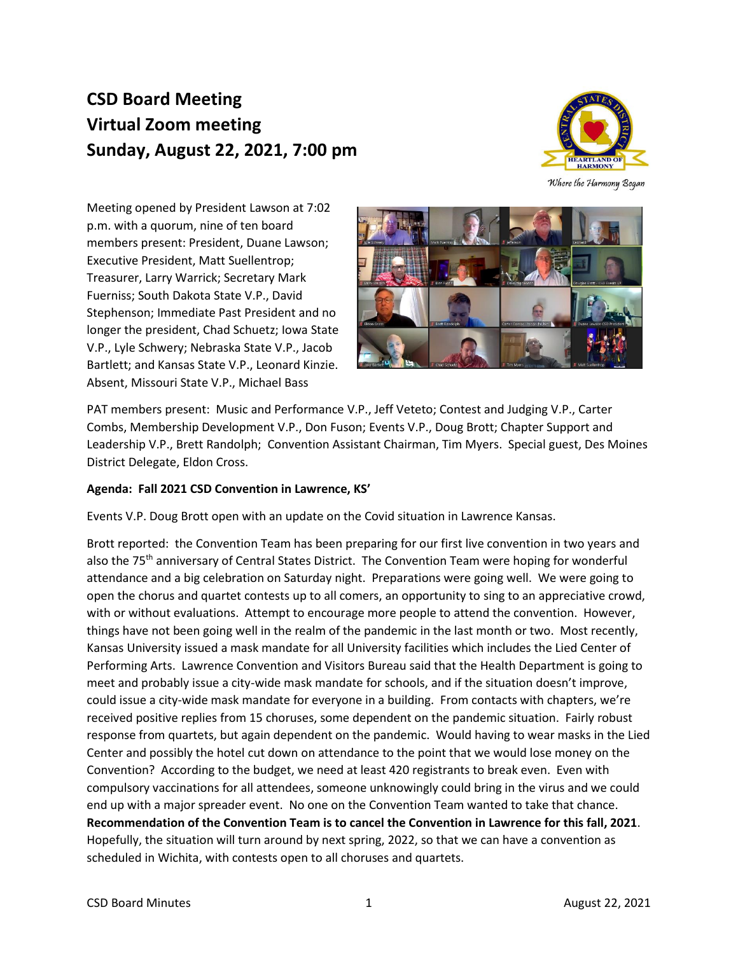## **CSD Board Meeting Virtual Zoom meeting Sunday, August 22, 2021, 7:00 pm**



Where the Harmony Began

Meeting opened by President Lawson at 7:02 p.m. with a quorum, nine of ten board members present: President, Duane Lawson; Executive President, Matt Suellentrop; Treasurer, Larry Warrick; Secretary Mark Fuerniss; South Dakota State V.P., David Stephenson; Immediate Past President and no longer the president, Chad Schuetz; Iowa State V.P., Lyle Schwery; Nebraska State V.P., Jacob Bartlett; and Kansas State V.P., Leonard Kinzie. Absent, Missouri State V.P., Michael Bass



PAT members present: Music and Performance V.P., Jeff Veteto; Contest and Judging V.P., Carter Combs, Membership Development V.P., Don Fuson; Events V.P., Doug Brott; Chapter Support and Leadership V.P., Brett Randolph; Convention Assistant Chairman, Tim Myers. Special guest, Des Moines District Delegate, Eldon Cross.

## **Agenda: Fall 2021 CSD Convention in Lawrence, KS'**

Events V.P. Doug Brott open with an update on the Covid situation in Lawrence Kansas.

Brott reported: the Convention Team has been preparing for our first live convention in two years and also the 75<sup>th</sup> anniversary of Central States District. The Convention Team were hoping for wonderful attendance and a big celebration on Saturday night. Preparations were going well. We were going to open the chorus and quartet contests up to all comers, an opportunity to sing to an appreciative crowd, with or without evaluations. Attempt to encourage more people to attend the convention. However, things have not been going well in the realm of the pandemic in the last month or two. Most recently, Kansas University issued a mask mandate for all University facilities which includes the Lied Center of Performing Arts. Lawrence Convention and Visitors Bureau said that the Health Department is going to meet and probably issue a city-wide mask mandate for schools, and if the situation doesn't improve, could issue a city-wide mask mandate for everyone in a building. From contacts with chapters, we're received positive replies from 15 choruses, some dependent on the pandemic situation. Fairly robust response from quartets, but again dependent on the pandemic. Would having to wear masks in the Lied Center and possibly the hotel cut down on attendance to the point that we would lose money on the Convention? According to the budget, we need at least 420 registrants to break even. Even with compulsory vaccinations for all attendees, someone unknowingly could bring in the virus and we could end up with a major spreader event. No one on the Convention Team wanted to take that chance. **Recommendation of the Convention Team is to cancel the Convention in Lawrence for this fall, 2021**. Hopefully, the situation will turn around by next spring, 2022, so that we can have a convention as scheduled in Wichita, with contests open to all choruses and quartets.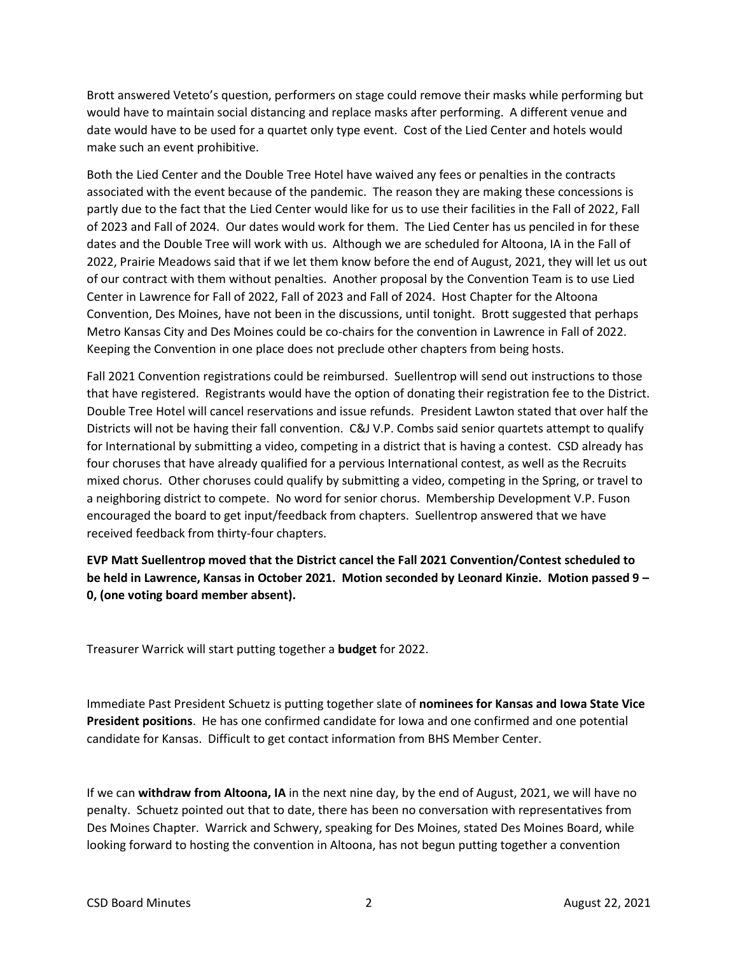Brott answered Veteto's question, performers on stage could remove their masks while performing but would have to maintain social distancing and replace masks after performing. A different venue and date would have to be used for a quartet only type event. Cost of the Lied Center and hotels would make such an event prohibitive.

Both the Lied Center and the Double Tree Hotel have waived any fees or penalties in the contracts associated with the event because of the pandemic. The reason they are making these concessions is partly due to the fact that the Lied Center would like for us to use their facilities in the Fall of 2022, Fall of 2023 and Fall of 2024. Our dates would work for them. The Lied Center has us penciled in for these dates and the Double Tree will work with us. Although we are scheduled for Altoona, IA in the Fall of 2022, Prairie Meadows said that if we let them know before the end of August, 2021, they will let us out of our contract with them without penalties. Another proposal by the Convention Team is to use Lied Center in Lawrence for Fall of 2022, Fall of 2023 and Fall of 2024. Host Chapter for the Altoona Convention, Des Moines, have not been in the discussions, until tonight. Brott suggested that perhaps Metro Kansas City and Des Moines could be co-chairs for the convention in Lawrence in Fall of 2022. Keeping the Convention in one place does not preclude other chapters from being hosts.

Fall 2021 Convention registrations could be reimbursed. Suellentrop will send out instructions to those that have registered. Registrants would have the option of donating their registration fee to the District. Double Tree Hotel will cancel reservations and issue refunds. President Lawton stated that over half the Districts will not be having their fall convention. C&J V.P. Combs said senior quartets attempt to qualify for International by submitting a video, competing in a district that is having a contest. CSD already has four choruses that have already qualified for a pervious International contest, as well as the Recruits mixed chorus. Other choruses could qualify by submitting a video, competing in the Spring, or travel to a neighboring district to compete. No word for senior chorus. Membership Development V.P. Fuson encouraged the board to get input/feedback from chapters. Suellentrop answered that we have received feedback from thirty-four chapters.

**EVP Matt Suellentrop moved that the District cancel the Fall 2021 Convention/Contest scheduled to be held in Lawrence, Kansas in October 2021. Motion seconded by Leonard Kinzie. Motion passed 9 – 0, (one voting board member absent).**

Treasurer Warrick will start putting together a **budget** for 2022.

Immediate Past President Schuetz is putting together slate of **nominees for Kansas and Iowa State Vice President positions**. He has one confirmed candidate for Iowa and one confirmed and one potential candidate for Kansas. Difficult to get contact information from BHS Member Center.

If we can **withdraw from Altoona, IA** in the next nine day, by the end of August, 2021, we will have no penalty. Schuetz pointed out that to date, there has been no conversation with representatives from Des Moines Chapter. Warrick and Schwery, speaking for Des Moines, stated Des Moines Board, while looking forward to hosting the convention in Altoona, has not begun putting together a convention